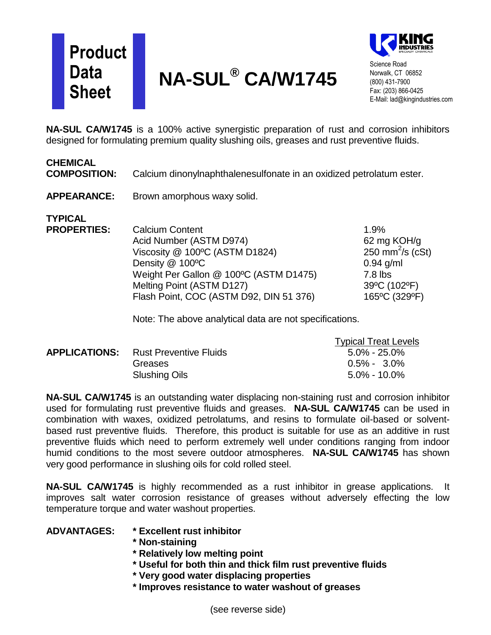## **Product Data Sheet**





Science Road Norwalk, CT 06852 (800) 431-7900 Fax: (203) 866-0425 E-Mail: lad@kingindustries.com

**NA-SUL CA/W1745** is a 100% active synergistic preparation of rust and corrosion inhibitors designed for formulating premium quality slushing oils, greases and rust preventive fluids.

## **CHEMICAL**

**COMPOSITION:** Calcium dinonylnaphthalenesulfonate in an oxidized petrolatum ester.

**APPEARANCE:** Brown amorphous waxy solid.

**TYPICAL**

**PROPERTIES:** Calcium Content 1.9% Acid Number (ASTM D974) 62 mg KOH/g Viscosity  $@$  100°C (ASTM D1824) 250 mm<sup>2</sup>/s (cSt) Density  $@$  100 $°C$  0.94 g/ml Weight Per Gallon @ 100°C (ASTM D1475) 7.8 lbs Melting Point (ASTM D127) 39°C (102°F) Flash Point, COC (ASTM D92, DIN 51 376) 165 °C (329 °F)

Note: The above analytical data are not specifications.

|                      |                               | <b>Typical Treat Levels</b> |
|----------------------|-------------------------------|-----------------------------|
| <b>APPLICATIONS:</b> | <b>Rust Preventive Fluids</b> | $5.0\%$ - $25.0\%$          |
|                      | Greases                       | $0.5\% - 3.0\%$             |
|                      | Slushing Oils                 | $5.0\%$ - 10.0%             |

**NA-SUL CA/W1745** is an outstanding water displacing non-staining rust and corrosion inhibitor used for formulating rust preventive fluids and greases. **NA-SUL CA/W1745** can be used in combination with waxes, oxidized petrolatums, and resins to formulate oil-based or solventbased rust preventive fluids. Therefore, this product is suitable for use as an additive in rust preventive fluids which need to perform extremely well under conditions ranging from indoor humid conditions to the most severe outdoor atmospheres. **NA-SUL CA/W1745** has shown very good performance in slushing oils for cold rolled steel.

**NA-SUL CA/W1745** is highly recommended as a rust inhibitor in grease applications. It improves salt water corrosion resistance of greases without adversely effecting the low temperature torque and water washout properties.

| <b>ADVANTAGES:</b> | * Excellent rust inhibitor |
|--------------------|----------------------------|
|--------------------|----------------------------|

- **\* Non-staining**
- **\* Relatively low melting point**
- **\* Useful for both thin and thick film rust preventive fluids**
- **\* Very good water displacing properties**
- **\* Improves resistance to water washout of greases**